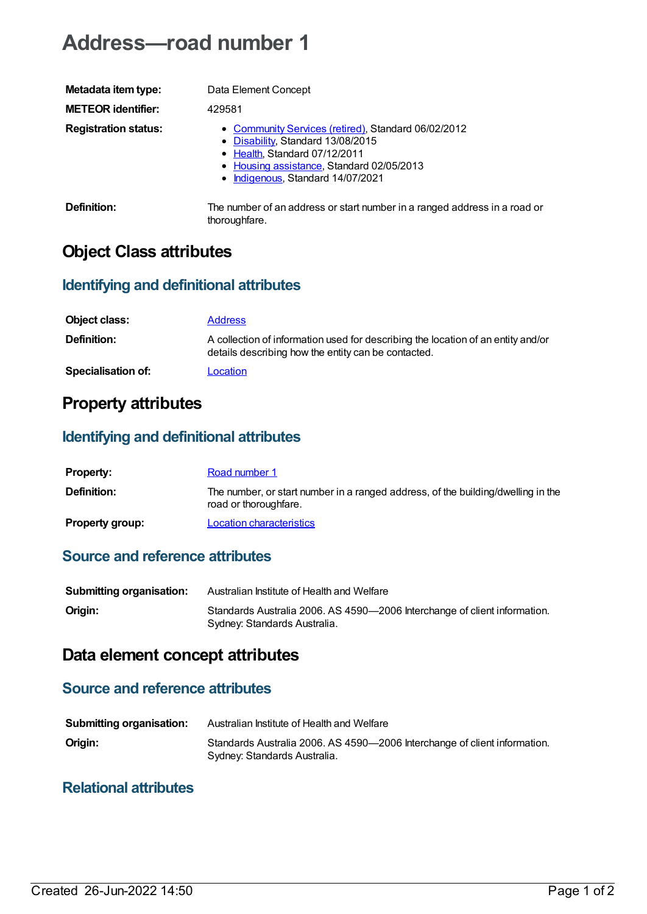# **Address—road number 1**

| Metadata item type:         | Data Element Concept                                                                                                                                                                                        |
|-----------------------------|-------------------------------------------------------------------------------------------------------------------------------------------------------------------------------------------------------------|
| <b>METEOR identifier:</b>   | 429581                                                                                                                                                                                                      |
| <b>Registration status:</b> | • Community Services (retired), Standard 06/02/2012<br>• Disability, Standard 13/08/2015<br>• Health, Standard 07/12/2011<br>• Housing assistance, Standard 02/05/2013<br>• Indigenous, Standard 14/07/2021 |
| Definition:                 | The number of an address or start number in a ranged address in a road or<br>thoroughfare.                                                                                                                  |

## **Object Class attributes**

### **Identifying and definitional attributes**

| Object class:      | <b>Address</b>                                                                                                                          |
|--------------------|-----------------------------------------------------------------------------------------------------------------------------------------|
| <b>Definition:</b> | A collection of information used for describing the location of an entity and/or<br>details describing how the entity can be contacted. |
| Specialisation of: | Location                                                                                                                                |

### **Property attributes**

### **Identifying and definitional attributes**

| <b>Property:</b>       | Road number 1                                                                                             |
|------------------------|-----------------------------------------------------------------------------------------------------------|
| Definition:            | The number, or start number in a ranged address, of the building/dwelling in the<br>road or thoroughfare. |
| <b>Property group:</b> | <b>Location characteristics</b>                                                                           |

#### **Source and reference attributes**

| <b>Submitting organisation:</b> | Australian Institute of Health and Welfare                                                                |
|---------------------------------|-----------------------------------------------------------------------------------------------------------|
| Origin:                         | Standards Australia 2006. AS 4590-2006 Interchange of client information.<br>Sydney: Standards Australia. |

### **Data element concept attributes**

#### **Source and reference attributes**

| <b>Submitting organisation:</b> | Australian Institute of Health and Welfare                                                                |
|---------------------------------|-----------------------------------------------------------------------------------------------------------|
| Origin:                         | Standards Australia 2006. AS 4590-2006 Interchange of client information.<br>Sydney: Standards Australia. |

#### **Relational attributes**